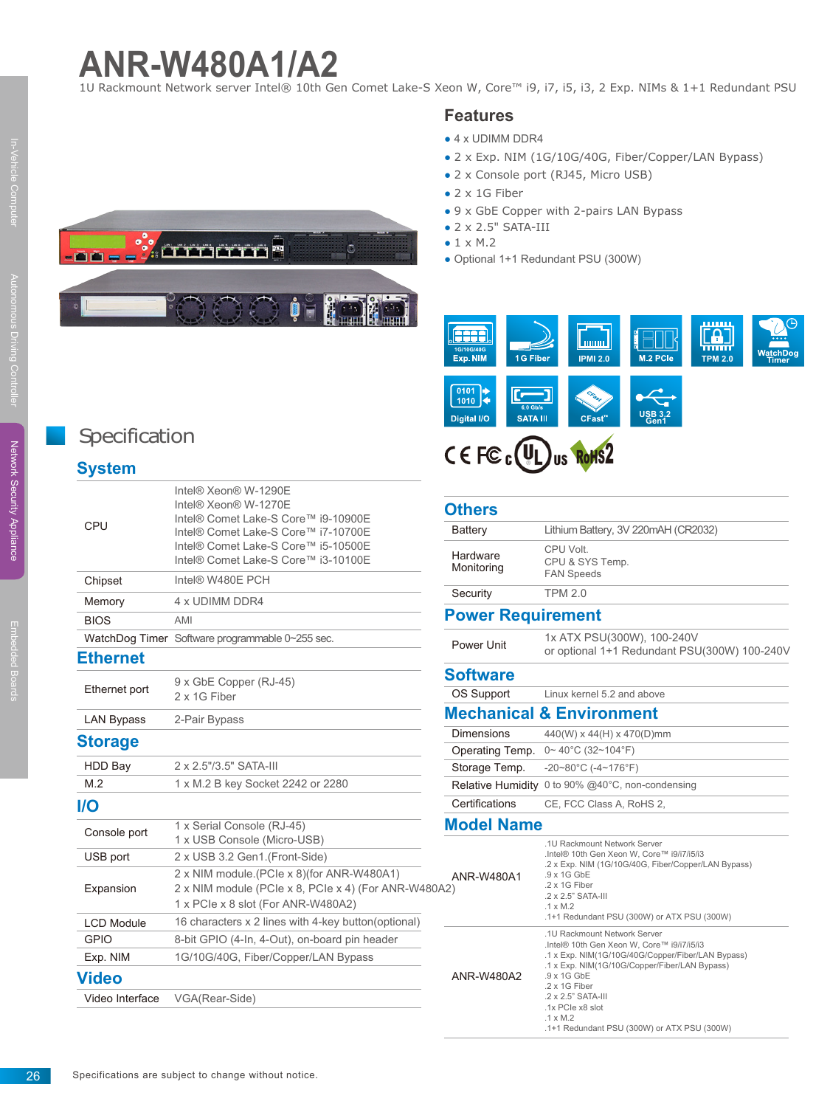# **ANR-W480A1/A2**

1U Rackmount Network server Intel® 10th Gen Comet Lake-S Xeon W, Core™ i9, i7, i5, i3, 2 Exp. NIMs & 1+1 Redundant PSU

#### **Features**

- $\bullet$  4 x UDIMM DDR4
- 2 x Exp. NIM (1G/10G/40G, Fiber/Copper/LAN Bypass)
- 2 x Console port (RJ45, Micro USB)
- $\bullet$  2 x 1G Fiber
- 9 x GbE Copper with 2-pairs LAN Bypass
- 2 x 2.5" SATA-III
- $\bullet$  1  $\times$  M.2
- Optional 1+1 Redundant PSU (300W)



## CEFCC(UL) US ROHS2

#### **Others**

| <b>Battery</b>           | Lithium Battery, 3V 220mAH (CR2032)                                                                                                                                                                                                                               |  |  |
|--------------------------|-------------------------------------------------------------------------------------------------------------------------------------------------------------------------------------------------------------------------------------------------------------------|--|--|
| Hardware<br>Monitoring   | CPU Volt.<br>CPU & SYS Temp.<br><b>FAN Speeds</b>                                                                                                                                                                                                                 |  |  |
| Security                 | <b>TPM 2.0</b>                                                                                                                                                                                                                                                    |  |  |
| <b>Power Requirement</b> |                                                                                                                                                                                                                                                                   |  |  |
| Power Unit               | 1x ATX PSU(300W), 100-240V<br>or optional 1+1 Redundant PSU(300W) 100-240V                                                                                                                                                                                        |  |  |
| <b>Software</b>          |                                                                                                                                                                                                                                                                   |  |  |
| <b>OS Support</b>        | Linux kernel 5.2 and above                                                                                                                                                                                                                                        |  |  |
|                          | <b>Mechanical &amp; Environment</b>                                                                                                                                                                                                                               |  |  |
| <b>Dimensions</b>        | 440(W) x 44(H) x 470(D)mm                                                                                                                                                                                                                                         |  |  |
| Operating Temp.          | $0 \sim 40^{\circ}$ C (32~104°F)                                                                                                                                                                                                                                  |  |  |
| Storage Temp.            | -20~80°C (-4~176°F)                                                                                                                                                                                                                                               |  |  |
| <b>Relative Humidity</b> | 0 to 90% @40°C, non-condensing                                                                                                                                                                                                                                    |  |  |
| Certifications           | CE, FCC Class A, RoHS 2,                                                                                                                                                                                                                                          |  |  |
| <b>Model Name</b>        |                                                                                                                                                                                                                                                                   |  |  |
| ANR-W480A1<br>30A2)      | .1U Rackmount Network Server<br>.Intel® 10th Gen Xeon W, Core™ i9/i7/i5/i3<br>.2 x Exp. NIM (1G/10G/40G, Fiber/Copper/LAN Bypass)<br>$.9 \times 1$ G GbE<br>.2 x 1G Fiber<br>.2 x 2.5" SATA-III<br>$.1 \times M.2$<br>.1+1 Redundant PSU (300W) or ATX PSU (300W) |  |  |
| ANR-W480A2               | .1U Rackmount Network Server<br>.Intel® 10th Gen Xeon W. Core™ i9/i7/i5/i3<br>.1 x Exp. NIM(1G/10G/40G/Copper/Fiber/LAN Bypass)<br>.1 x Exp. NIM(1G/10G/Copper/Fiber/LAN Bypass)<br>.9 x 1G GbE<br>.2 x 1G Fiber<br>.2 x 2.5" SATA-III<br>1x PCIe x8 slot         |  |  |

.1 x M.2

.1+1 Redundant PSU (300W) or ATX PSU (300W)



### **Specification**

#### **System**

| CPU               | Intel® Xeon® W-1290E<br>Intel® Xeon® W-1270E<br>Intel® Comet Lake-S Core™ i9-10900E<br>Intel® Comet Lake-S Core™ i7-10700E<br>Intel® Comet Lake-S Core™ i5-10500E<br>Intel® Comet Lake-S Core™ i3-10100E | O<br>ľ                        |
|-------------------|----------------------------------------------------------------------------------------------------------------------------------------------------------------------------------------------------------|-------------------------------|
| Chipset           | Intel® W480E PCH                                                                                                                                                                                         |                               |
| Memory            | 4 x UDIMM DDR4                                                                                                                                                                                           | š<br>P                        |
| <b>BIOS</b>       | AMI                                                                                                                                                                                                      |                               |
|                   | WatchDog Timer Software programmable 0~255 sec.                                                                                                                                                          | ł                             |
| <b>Ethernet</b>   |                                                                                                                                                                                                          |                               |
| Ethernet port     | 9 x GbE Copper (RJ-45)<br>2 x 1G Fiber                                                                                                                                                                   | S<br>$\overline{\phantom{a}}$ |
| <b>LAN Bypass</b> | 2-Pair Bypass                                                                                                                                                                                            | $\overline{\mathsf{N}}$       |
| <b>Storage</b>    |                                                                                                                                                                                                          | $\overline{1}$                |
| <b>HDD Bay</b>    | 2 x 2.5"/3.5" SATA-III                                                                                                                                                                                   | $\frac{1}{2}$                 |
| M.2               | 1 x M.2 B key Socket 2242 or 2280                                                                                                                                                                        |                               |
| <b>I/O</b>        |                                                                                                                                                                                                          | $\overline{\phantom{a}}$      |
| Console port      | 1 x Serial Console (RJ-45)<br>1 x USB Console (Micro-USB)                                                                                                                                                | N                             |
| USB port          | 2 x USB 3.2 Gen1.(Front-Side)                                                                                                                                                                            |                               |
| Expansion         | 2 x NIM module.(PCle x 8)(for ANR-W480A1)<br>2 x NIM module (PCIe x 8, PCIe x 4) (For ANR-W480A2)<br>1 x PCIe x 8 slot (For ANR-W480A2)                                                                  |                               |
| <b>LCD Module</b> | 16 characters x 2 lines with 4-key button(optional)                                                                                                                                                      |                               |
| <b>GPIO</b>       | 8-bit GPIO (4-In, 4-Out), on-board pin header                                                                                                                                                            |                               |
| Exp. NIM          | 1G/10G/40G, Fiber/Copper/LAN Bypass                                                                                                                                                                      |                               |
| Video             |                                                                                                                                                                                                          |                               |
| Video Interface   | VGA(Rear-Side)                                                                                                                                                                                           |                               |